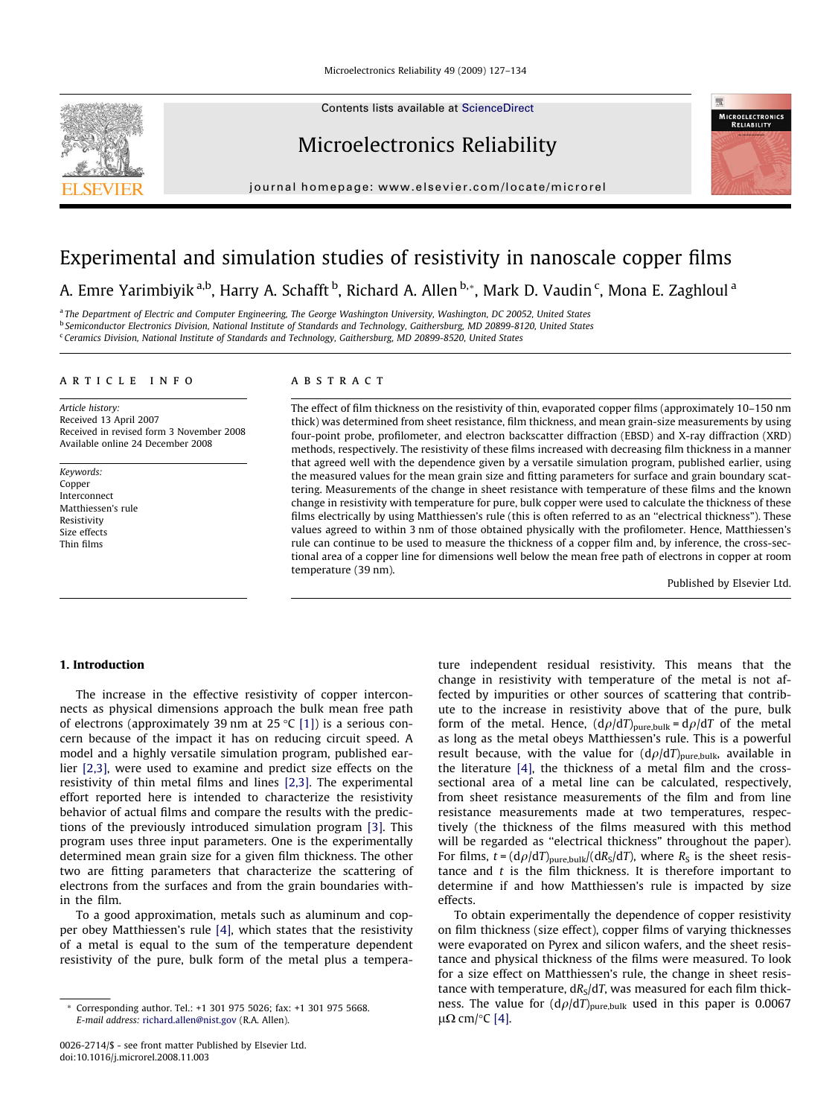Contents lists available at [ScienceDirect](http://www.sciencedirect.com/science/journal/00262714)

## Microelectronics Reliability

journal homepage: [www.elsevier.com/locate/microrel](http://www.elsevier.com/locate/microrel)





# Experimental and simulation studies of resistivity in nanoscale copper films

A. Emre Yarimbiyik <sup>a,b</sup>, Harry A. Schafft <sup>b</sup>, Richard A. Allen <sup>b,</sup>\*, Mark D. Vaudin <sup>c</sup>, Mona E. Zaghloul <sup>a</sup>

<sup>a</sup> The Department of Electric and Computer Engineering, The George Washington University, Washington, DC 20052, United States <sup>b</sup> Semiconductor Electronics Division, National Institute of Standards and Technology, Gaithersburg, MD 20899-8120, United States <sup>c</sup> Ceramics Division, National Institute of Standards and Technology, Gaithersburg, MD 20899-8520, United States

#### article info

Article history: Received 13 April 2007 Received in revised form 3 November 2008 Available online 24 December 2008

Keywords: Copper Interconnect Matthiessen's rule Resistivity Size effects Thin films

### **ABSTRACT**

The effect of film thickness on the resistivity of thin, evaporated copper films (approximately 10–150 nm thick) was determined from sheet resistance, film thickness, and mean grain-size measurements by using four-point probe, profilometer, and electron backscatter diffraction (EBSD) and X-ray diffraction (XRD) methods, respectively. The resistivity of these films increased with decreasing film thickness in a manner that agreed well with the dependence given by a versatile simulation program, published earlier, using the measured values for the mean grain size and fitting parameters for surface and grain boundary scattering. Measurements of the change in sheet resistance with temperature of these films and the known change in resistivity with temperature for pure, bulk copper were used to calculate the thickness of these films electrically by using Matthiessen's rule (this is often referred to as an "electrical thickness"). These values agreed to within 3 nm of those obtained physically with the profilometer. Hence, Matthiessen's rule can continue to be used to measure the thickness of a copper film and, by inference, the cross-sectional area of a copper line for dimensions well below the mean free path of electrons in copper at room temperature (39 nm).

Published by Elsevier Ltd.

#### 1. Introduction

The increase in the effective resistivity of copper interconnects as physical dimensions approach the bulk mean free path of electrons (approximately 39 nm at 25 °C [\[1\]\)](#page--1-0) is a serious concern because of the impact it has on reducing circuit speed. A model and a highly versatile simulation program, published earlier [\[2,3\]](#page--1-0), were used to examine and predict size effects on the resistivity of thin metal films and lines [\[2,3\].](#page--1-0) The experimental effort reported here is intended to characterize the resistivity behavior of actual films and compare the results with the predictions of the previously introduced simulation program [\[3\]](#page--1-0). This program uses three input parameters. One is the experimentally determined mean grain size for a given film thickness. The other two are fitting parameters that characterize the scattering of electrons from the surfaces and from the grain boundaries within the film.

To a good approximation, metals such as aluminum and copper obey Matthiessen's rule [\[4\]](#page--1-0), which states that the resistivity of a metal is equal to the sum of the temperature dependent resistivity of the pure, bulk form of the metal plus a temperature independent residual resistivity. This means that the change in resistivity with temperature of the metal is not affected by impurities or other sources of scattering that contribute to the increase in resistivity above that of the pure, bulk form of the metal. Hence,  $(d\rho/dT)_{pure, bulk} = d\rho/dT$  of the metal as long as the metal obeys Matthiessen's rule. This is a powerful result because, with the value for  $(d\rho/dT)_{pure,bulk}$ , available in the literature [\[4\]](#page--1-0), the thickness of a metal film and the crosssectional area of a metal line can be calculated, respectively, from sheet resistance measurements of the film and from line resistance measurements made at two temperatures, respectively (the thickness of the films measured with this method will be regarded as "electrical thickness" throughout the paper). For films,  $t = (d\rho/dT)_{pure,bulk} / (dR_S/dT)$ , where  $R_S$  is the sheet resistance and  $t$  is the film thickness. It is therefore important to determine if and how Matthiessen's rule is impacted by size effects.

To obtain experimentally the dependence of copper resistivity on film thickness (size effect), copper films of varying thicknesses were evaporated on Pyrex and silicon wafers, and the sheet resistance and physical thickness of the films were measured. To look for a size effect on Matthiessen's rule, the change in sheet resistance with temperature,  $dR<sub>S</sub>/dT$ , was measured for each film thickness. The value for  $(d\rho/dT)_{pure,bulk}$  used in this paper is 0.0067 μΩ cm/ $°C$  [\[4\].](#page--1-0)

Corresponding author. Tel.: +1 301 975 5026; fax: +1 301 975 5668. E-mail address: [richard.allen@nist.gov](mailto:richard.allen@nist.gov) (R.A. Allen).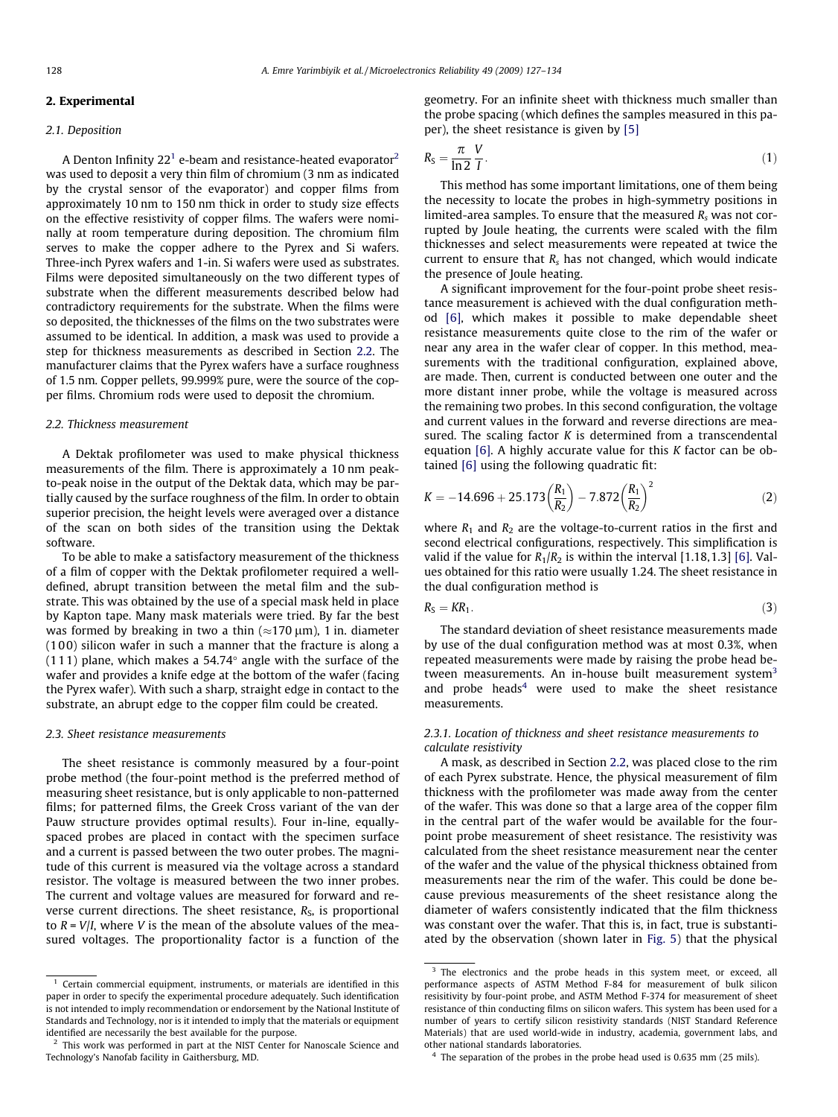### 2. Experimental

#### 2.1. Deposition

A Denton Infinity  $22<sup>1</sup>$  e-beam and resistance-heated evaporator<sup>2</sup> was used to deposit a very thin film of chromium (3 nm as indicated by the crystal sensor of the evaporator) and copper films from approximately 10 nm to 150 nm thick in order to study size effects on the effective resistivity of copper films. The wafers were nominally at room temperature during deposition. The chromium film serves to make the copper adhere to the Pyrex and Si wafers. Three-inch Pyrex wafers and 1-in. Si wafers were used as substrates. Films were deposited simultaneously on the two different types of substrate when the different measurements described below had contradictory requirements for the substrate. When the films were so deposited, the thicknesses of the films on the two substrates were assumed to be identical. In addition, a mask was used to provide a step for thickness measurements as described in Section 2.2. The manufacturer claims that the Pyrex wafers have a surface roughness of 1.5 nm. Copper pellets, 99.999% pure, were the source of the copper films. Chromium rods were used to deposit the chromium.

#### 2.2. Thickness measurement

A Dektak profilometer was used to make physical thickness measurements of the film. There is approximately a 10 nm peakto-peak noise in the output of the Dektak data, which may be partially caused by the surface roughness of the film. In order to obtain superior precision, the height levels were averaged over a distance of the scan on both sides of the transition using the Dektak software.

To be able to make a satisfactory measurement of the thickness of a film of copper with the Dektak profilometer required a welldefined, abrupt transition between the metal film and the substrate. This was obtained by the use of a special mask held in place by Kapton tape. Many mask materials were tried. By far the best was formed by breaking in two a thin ( $\approx$ 170  $\mu$ m), 1 in. diameter (1 00) silicon wafer in such a manner that the fracture is along a  $(1\,1\,1)$  plane, which makes a 54.74 $^{\circ}$  angle with the surface of the wafer and provides a knife edge at the bottom of the wafer (facing the Pyrex wafer). With such a sharp, straight edge in contact to the substrate, an abrupt edge to the copper film could be created.

#### 2.3. Sheet resistance measurements

The sheet resistance is commonly measured by a four-point probe method (the four-point method is the preferred method of measuring sheet resistance, but is only applicable to non-patterned films; for patterned films, the Greek Cross variant of the van der Pauw structure provides optimal results). Four in-line, equallyspaced probes are placed in contact with the specimen surface and a current is passed between the two outer probes. The magnitude of this current is measured via the voltage across a standard resistor. The voltage is measured between the two inner probes. The current and voltage values are measured for forward and reverse current directions. The sheet resistance,  $R<sub>S</sub>$ , is proportional to  $R = V/I$ , where V is the mean of the absolute values of the measured voltages. The proportionality factor is a function of the geometry. For an infinite sheet with thickness much smaller than the probe spacing (which defines the samples measured in this paper), the sheet resistance is given by [\[5\]](#page--1-0)

$$
R_{\rm S} = \frac{\pi}{\ln 2} \frac{V}{I} \tag{1}
$$

This method has some important limitations, one of them being the necessity to locate the probes in high-symmetry positions in limited-area samples. To ensure that the measured  $R_s$  was not corrupted by Joule heating, the currents were scaled with the film thicknesses and select measurements were repeated at twice the current to ensure that  $R_s$  has not changed, which would indicate the presence of Joule heating.

A significant improvement for the four-point probe sheet resistance measurement is achieved with the dual configuration method [\[6\],](#page--1-0) which makes it possible to make dependable sheet resistance measurements quite close to the rim of the wafer or near any area in the wafer clear of copper. In this method, measurements with the traditional configuration, explained above, are made. Then, current is conducted between one outer and the more distant inner probe, while the voltage is measured across the remaining two probes. In this second configuration, the voltage and current values in the forward and reverse directions are measured. The scaling factor  $K$  is determined from a transcendental equation [\[6\].](#page--1-0) A highly accurate value for this K factor can be obtained [\[6\]](#page--1-0) using the following quadratic fit:

$$
K = -14.696 + 25.173 \left(\frac{R_1}{R_2}\right) - 7.872 \left(\frac{R_1}{R_2}\right)^2 \tag{2}
$$

where  $R_1$  and  $R_2$  are the voltage-to-current ratios in the first and second electrical configurations, respectively. This simplification is valid if the value for  $R_1/R_2$  is within the interval [1.18,1.3] [\[6\]](#page--1-0). Values obtained for this ratio were usually 1.24. The sheet resistance in the dual configuration method is

$$
R_{\rm S}=KR_1.\tag{3}
$$

The standard deviation of sheet resistance measurements made by use of the dual configuration method was at most 0.3%, when repeated measurements were made by raising the probe head between measurements. An in-house built measurement system $3$ and probe heads $4$  were used to make the sheet resistance measurements.

#### 2.3.1. Location of thickness and sheet resistance measurements to calculate resistivity

A mask, as described in Section 2.2, was placed close to the rim of each Pyrex substrate. Hence, the physical measurement of film thickness with the profilometer was made away from the center of the wafer. This was done so that a large area of the copper film in the central part of the wafer would be available for the fourpoint probe measurement of sheet resistance. The resistivity was calculated from the sheet resistance measurement near the center of the wafer and the value of the physical thickness obtained from measurements near the rim of the wafer. This could be done because previous measurements of the sheet resistance along the diameter of wafers consistently indicated that the film thickness was constant over the wafer. That this is, in fact, true is substantiated by the observation (shown later in [Fig. 5](#page--1-0)) that the physical

 $1$  Certain commercial equipment, instruments, or materials are identified in this paper in order to specify the experimental procedure adequately. Such identification is not intended to imply recommendation or endorsement by the National Institute of Standards and Technology, nor is it intended to imply that the materials or equipment identified are necessarily the best available for the purpose.

<sup>&</sup>lt;sup>2</sup> This work was performed in part at the NIST Center for Nanoscale Science and Technology's Nanofab facility in Gaithersburg, MD.

<sup>&</sup>lt;sup>3</sup> The electronics and the probe heads in this system meet, or exceed, all performance aspects of ASTM Method F-84 for measurement of bulk silicon resisitivity by four-point probe, and ASTM Method F-374 for measurement of sheet resistance of thin conducting films on silicon wafers. This system has been used for a number of years to certify silicon resistivity standards (NIST Standard Reference Materials) that are used world-wide in industry, academia, government labs, and other national standards laboratories.

 $4$  The separation of the probes in the probe head used is 0.635 mm (25 mils).